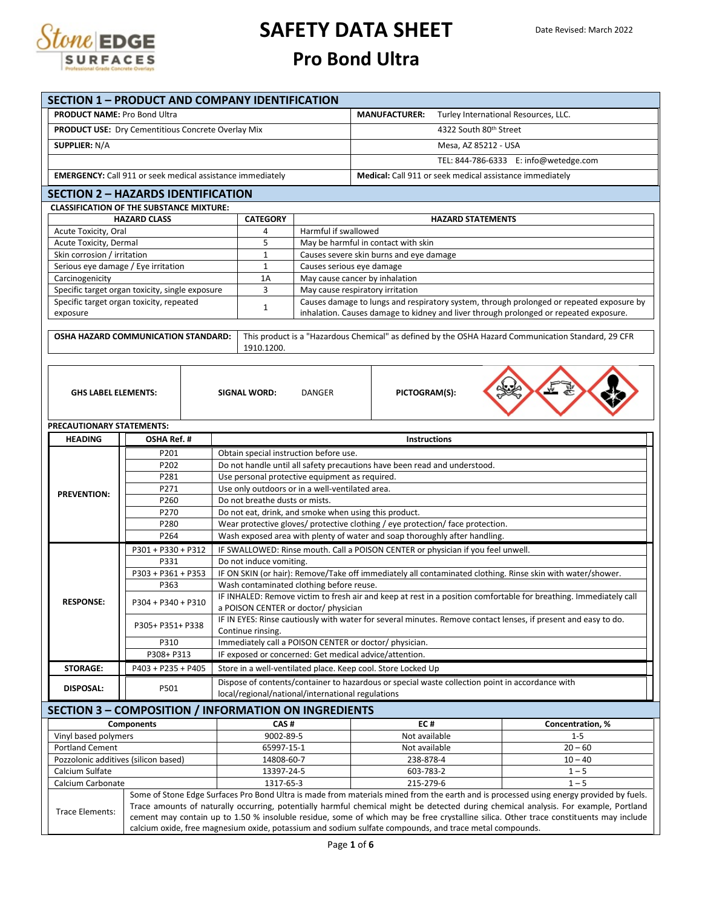

| <b>SECTION 1 - PRODUCT AND COMPANY IDENTIFICATION</b>     |                                                                   |                                                                                                            |                                                                                  |                                                                                                                                                                                                                                                  |  |  |  |  |
|-----------------------------------------------------------|-------------------------------------------------------------------|------------------------------------------------------------------------------------------------------------|----------------------------------------------------------------------------------|--------------------------------------------------------------------------------------------------------------------------------------------------------------------------------------------------------------------------------------------------|--|--|--|--|
| <b>PRODUCT NAME: Pro Bond Ultra</b>                       |                                                                   |                                                                                                            |                                                                                  | Turley International Resources, LLC.<br><b>MANUFACTURER:</b>                                                                                                                                                                                     |  |  |  |  |
| <b>PRODUCT USE:</b> Dry Cementitious Concrete Overlay Mix |                                                                   |                                                                                                            |                                                                                  | 4322 South 80th Street                                                                                                                                                                                                                           |  |  |  |  |
| <b>SUPPLIER: N/A</b>                                      |                                                                   |                                                                                                            |                                                                                  | Mesa, AZ 85212 - USA                                                                                                                                                                                                                             |  |  |  |  |
|                                                           |                                                                   |                                                                                                            |                                                                                  |                                                                                                                                                                                                                                                  |  |  |  |  |
|                                                           |                                                                   |                                                                                                            |                                                                                  | TEL: 844-786-6333 E: info@wetedge.com                                                                                                                                                                                                            |  |  |  |  |
|                                                           | <b>EMERGENCY:</b> Call 911 or seek medical assistance immediately |                                                                                                            |                                                                                  | Medical: Call 911 or seek medical assistance immediately                                                                                                                                                                                         |  |  |  |  |
|                                                           | <b>SECTION 2 - HAZARDS IDENTIFICATION</b>                         |                                                                                                            |                                                                                  |                                                                                                                                                                                                                                                  |  |  |  |  |
|                                                           | <b>CLASSIFICATION OF THE SUBSTANCE MIXTURE:</b>                   |                                                                                                            |                                                                                  |                                                                                                                                                                                                                                                  |  |  |  |  |
|                                                           | <b>HAZARD CLASS</b>                                               |                                                                                                            | <b>CATEGORY</b>                                                                  | <b>HAZARD STATEMENTS</b>                                                                                                                                                                                                                         |  |  |  |  |
| Acute Toxicity, Oral                                      |                                                                   |                                                                                                            | 4                                                                                | Harmful if swallowed                                                                                                                                                                                                                             |  |  |  |  |
| Acute Toxicity, Dermal<br>Skin corrosion / irritation     |                                                                   |                                                                                                            | 5<br>$\mathbf{1}$                                                                | May be harmful in contact with skin<br>Causes severe skin burns and eye damage                                                                                                                                                                   |  |  |  |  |
| Serious eye damage / Eye irritation                       |                                                                   |                                                                                                            | $\mathbf{1}$                                                                     | Causes serious eye damage                                                                                                                                                                                                                        |  |  |  |  |
| Carcinogenicity                                           |                                                                   |                                                                                                            | 1A                                                                               | May cause cancer by inhalation                                                                                                                                                                                                                   |  |  |  |  |
|                                                           | Specific target organ toxicity, single exposure                   |                                                                                                            | 3                                                                                | May cause respiratory irritation                                                                                                                                                                                                                 |  |  |  |  |
|                                                           | Specific target organ toxicity, repeated                          |                                                                                                            | $\mathbf{1}$                                                                     | Causes damage to lungs and respiratory system, through prolonged or repeated exposure by                                                                                                                                                         |  |  |  |  |
| exposure                                                  |                                                                   |                                                                                                            |                                                                                  | inhalation. Causes damage to kidney and liver through prolonged or repeated exposure.                                                                                                                                                            |  |  |  |  |
|                                                           | OSHA HAZARD COMMUNICATION STANDARD:                               |                                                                                                            |                                                                                  | This product is a "Hazardous Chemical" as defined by the OSHA Hazard Communication Standard, 29 CFR                                                                                                                                              |  |  |  |  |
|                                                           |                                                                   |                                                                                                            | 1910.1200.                                                                       |                                                                                                                                                                                                                                                  |  |  |  |  |
|                                                           |                                                                   |                                                                                                            |                                                                                  |                                                                                                                                                                                                                                                  |  |  |  |  |
|                                                           |                                                                   |                                                                                                            |                                                                                  |                                                                                                                                                                                                                                                  |  |  |  |  |
|                                                           |                                                                   |                                                                                                            |                                                                                  |                                                                                                                                                                                                                                                  |  |  |  |  |
| <b>GHS LABEL ELEMENTS:</b>                                |                                                                   |                                                                                                            | <b>SIGNAL WORD:</b>                                                              | PICTOGRAM(S):<br>DANGER                                                                                                                                                                                                                          |  |  |  |  |
|                                                           |                                                                   |                                                                                                            |                                                                                  |                                                                                                                                                                                                                                                  |  |  |  |  |
| PRECAUTIONARY STATEMENTS:                                 |                                                                   |                                                                                                            |                                                                                  |                                                                                                                                                                                                                                                  |  |  |  |  |
| <b>HEADING</b>                                            | OSHA Ref. #                                                       |                                                                                                            |                                                                                  | <b>Instructions</b>                                                                                                                                                                                                                              |  |  |  |  |
|                                                           | P201                                                              |                                                                                                            |                                                                                  | Obtain special instruction before use.                                                                                                                                                                                                           |  |  |  |  |
|                                                           | P202                                                              |                                                                                                            | Do not handle until all safety precautions have been read and understood.        |                                                                                                                                                                                                                                                  |  |  |  |  |
|                                                           | P281                                                              | Use personal protective equipment as required.<br>Use only outdoors or in a well-ventilated area.          |                                                                                  |                                                                                                                                                                                                                                                  |  |  |  |  |
| <b>PREVENTION:</b>                                        | P271<br>P260                                                      |                                                                                                            | Do not breathe dusts or mists.                                                   |                                                                                                                                                                                                                                                  |  |  |  |  |
|                                                           | P270                                                              |                                                                                                            | Do not eat, drink, and smoke when using this product.                            |                                                                                                                                                                                                                                                  |  |  |  |  |
|                                                           | P280                                                              |                                                                                                            | Wear protective gloves/ protective clothing / eye protection/ face protection.   |                                                                                                                                                                                                                                                  |  |  |  |  |
|                                                           | P264                                                              |                                                                                                            | Wash exposed area with plenty of water and soap thoroughly after handling.       |                                                                                                                                                                                                                                                  |  |  |  |  |
|                                                           | P301 + P330 + P312                                                |                                                                                                            | IF SWALLOWED: Rinse mouth. Call a POISON CENTER or physician if you feel unwell. |                                                                                                                                                                                                                                                  |  |  |  |  |
|                                                           | P331                                                              |                                                                                                            | Do not induce vomiting.                                                          |                                                                                                                                                                                                                                                  |  |  |  |  |
|                                                           | P303 + P361 + P353                                                | IF ON SKIN (or hair): Remove/Take off immediately all contaminated clothing. Rinse skin with water/shower. |                                                                                  |                                                                                                                                                                                                                                                  |  |  |  |  |
|                                                           | P363                                                              |                                                                                                            | Wash contaminated clothing before reuse.                                         |                                                                                                                                                                                                                                                  |  |  |  |  |
| <b>RESPONSE:</b><br>P304 + P340 + P310                    |                                                                   |                                                                                                            |                                                                                  |                                                                                                                                                                                                                                                  |  |  |  |  |
|                                                           |                                                                   |                                                                                                            |                                                                                  | IF INHALED: Remove victim to fresh air and keep at rest in a position comfortable for breathing. Immediately call                                                                                                                                |  |  |  |  |
|                                                           |                                                                   |                                                                                                            |                                                                                  | a POISON CENTER or doctor/ physician<br>IF IN EYES: Rinse cautiously with water for several minutes. Remove contact lenses, if present and easy to do.                                                                                           |  |  |  |  |
|                                                           | P305+ P351+ P338                                                  |                                                                                                            | Continue rinsing.                                                                |                                                                                                                                                                                                                                                  |  |  |  |  |
|                                                           | P310                                                              |                                                                                                            |                                                                                  | Immediately call a POISON CENTER or doctor/ physician.                                                                                                                                                                                           |  |  |  |  |
|                                                           | P308+ P313                                                        |                                                                                                            |                                                                                  | IF exposed or concerned: Get medical advice/attention.                                                                                                                                                                                           |  |  |  |  |
| <b>STORAGE:</b>                                           | P403 + P235 + P405                                                |                                                                                                            |                                                                                  | Store in a well-ventilated place. Keep cool. Store Locked Up                                                                                                                                                                                     |  |  |  |  |
| <b>DISPOSAL:</b>                                          | P501                                                              |                                                                                                            |                                                                                  | Dispose of contents/container to hazardous or special waste collection point in accordance with                                                                                                                                                  |  |  |  |  |
|                                                           |                                                                   |                                                                                                            |                                                                                  | local/regional/national/international regulations                                                                                                                                                                                                |  |  |  |  |
|                                                           | SECTION 3 - COMPOSITION / INFORMATION ON INGREDIENTS              |                                                                                                            |                                                                                  |                                                                                                                                                                                                                                                  |  |  |  |  |
|                                                           | <b>Components</b>                                                 |                                                                                                            | CAS#                                                                             | EC#<br>Concentration, %                                                                                                                                                                                                                          |  |  |  |  |
| Vinyl based polymers                                      |                                                                   |                                                                                                            | 9002-89-5                                                                        | Not available<br>$1 - 5$                                                                                                                                                                                                                         |  |  |  |  |
| <b>Portland Cement</b>                                    |                                                                   |                                                                                                            | 65997-15-1                                                                       | Not available<br>$20 - 60$<br>$10 - 40$                                                                                                                                                                                                          |  |  |  |  |
| Pozzolonic additives (silicon based)<br>Calcium Sulfate   |                                                                   |                                                                                                            | 14808-60-7<br>13397-24-5                                                         | 238-878-4<br>603-783-2<br>$1 - 5$                                                                                                                                                                                                                |  |  |  |  |
| Calcium Carbonate                                         |                                                                   |                                                                                                            | 1317-65-3                                                                        | 215-279-6<br>$1 - 5$                                                                                                                                                                                                                             |  |  |  |  |
|                                                           |                                                                   |                                                                                                            |                                                                                  | Some of Stone Edge Surfaces Pro Bond Ultra is made from materials mined from the earth and is processed using energy provided by fuels.                                                                                                          |  |  |  |  |
| Trace Elements:                                           |                                                                   |                                                                                                            |                                                                                  | Trace amounts of naturally occurring, potentially harmful chemical might be detected during chemical analysis. For example, Portland                                                                                                             |  |  |  |  |
|                                                           |                                                                   |                                                                                                            |                                                                                  | cement may contain up to 1.50 % insoluble residue, some of which may be free crystalline silica. Other trace constituents may include<br>calcium oxide, free magnesium oxide, potassium and sodium sulfate compounds, and trace metal compounds. |  |  |  |  |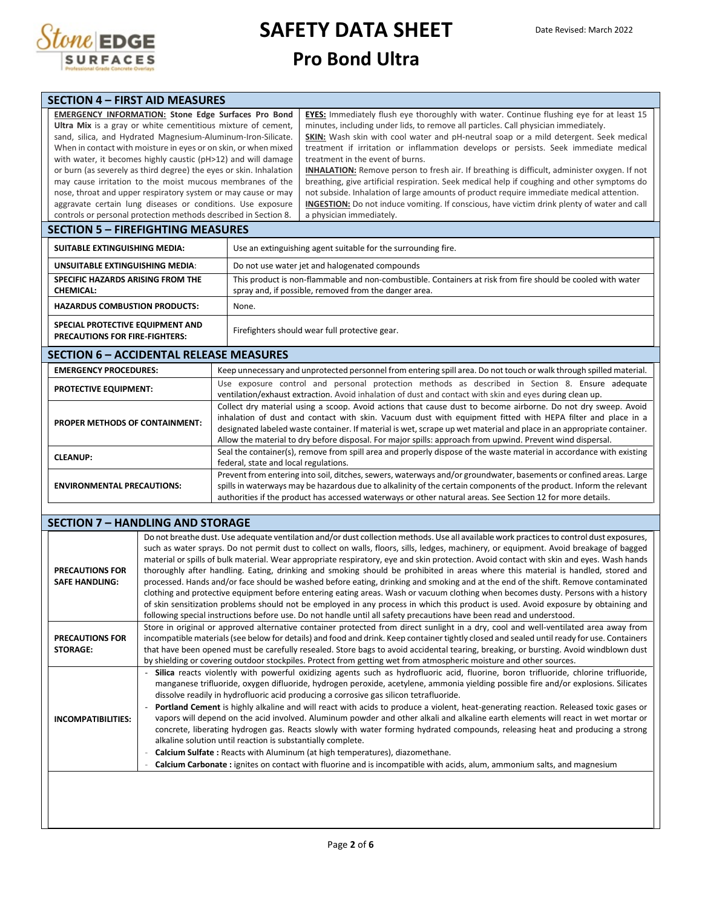

#### **Pro Bond Ultra**

|                                                                                                                                                                                                                                                                                                                                                                                                                                                                                                                                                                                                                                                                      | <b>SECTION 4 – FIRST AID MEASURES</b>                                                          |       |                                                                                                                                                                                                                                                                                                                                                                                                                                                                                                                                                                                                                                                                                                                                                                                                                                                        |  |  |  |
|----------------------------------------------------------------------------------------------------------------------------------------------------------------------------------------------------------------------------------------------------------------------------------------------------------------------------------------------------------------------------------------------------------------------------------------------------------------------------------------------------------------------------------------------------------------------------------------------------------------------------------------------------------------------|------------------------------------------------------------------------------------------------|-------|--------------------------------------------------------------------------------------------------------------------------------------------------------------------------------------------------------------------------------------------------------------------------------------------------------------------------------------------------------------------------------------------------------------------------------------------------------------------------------------------------------------------------------------------------------------------------------------------------------------------------------------------------------------------------------------------------------------------------------------------------------------------------------------------------------------------------------------------------------|--|--|--|
| <b>EMERGENCY INFORMATION: Stone Edge Surfaces Pro Bond</b><br>Ultra Mix is a gray or white cementitious mixture of cement,<br>sand, silica, and Hydrated Magnesium-Aluminum-Iron-Silicate.<br>When in contact with moisture in eyes or on skin, or when mixed<br>with water, it becomes highly caustic (pH>12) and will damage<br>or burn (as severely as third degree) the eyes or skin. Inhalation<br>may cause irritation to the moist mucous membranes of the<br>nose, throat and upper respiratory system or may cause or may<br>aggravate certain lung diseases or conditions. Use exposure<br>controls or personal protection methods described in Section 8. |                                                                                                |       | <b>EYES:</b> Immediately flush eye thoroughly with water. Continue flushing eye for at least 15<br>minutes, including under lids, to remove all particles. Call physician immediately.<br><b>SKIN:</b> Wash skin with cool water and pH-neutral soap or a mild detergent. Seek medical<br>treatment if irritation or inflammation develops or persists. Seek immediate medical<br>treatment in the event of burns.<br><b>INHALATION:</b> Remove person to fresh air. If breathing is difficult, administer oxygen. If not<br>breathing, give artificial respiration. Seek medical help if coughing and other symptoms do<br>not subside. Inhalation of large amounts of product require immediate medical attention.<br><b>INGESTION:</b> Do not induce vomiting. If conscious, have victim drink plenty of water and call<br>a physician immediately. |  |  |  |
| <b>SECTION 5 - FIREFIGHTING MEASURES</b>                                                                                                                                                                                                                                                                                                                                                                                                                                                                                                                                                                                                                             |                                                                                                |       |                                                                                                                                                                                                                                                                                                                                                                                                                                                                                                                                                                                                                                                                                                                                                                                                                                                        |  |  |  |
|                                                                                                                                                                                                                                                                                                                                                                                                                                                                                                                                                                                                                                                                      | Use an extinguishing agent suitable for the surrounding fire.<br>SUITABLE EXTINGUISHING MEDIA: |       |                                                                                                                                                                                                                                                                                                                                                                                                                                                                                                                                                                                                                                                                                                                                                                                                                                                        |  |  |  |
| UNSUITABLE EXTINGUISHING MEDIA:                                                                                                                                                                                                                                                                                                                                                                                                                                                                                                                                                                                                                                      |                                                                                                |       | Do not use water jet and halogenated compounds                                                                                                                                                                                                                                                                                                                                                                                                                                                                                                                                                                                                                                                                                                                                                                                                         |  |  |  |
| SPECIFIC HAZARDS ARISING FROM THE<br><b>CHEMICAL:</b>                                                                                                                                                                                                                                                                                                                                                                                                                                                                                                                                                                                                                |                                                                                                |       | This product is non-flammable and non-combustible. Containers at risk from fire should be cooled with water<br>spray and, if possible, removed from the danger area.                                                                                                                                                                                                                                                                                                                                                                                                                                                                                                                                                                                                                                                                                   |  |  |  |
|                                                                                                                                                                                                                                                                                                                                                                                                                                                                                                                                                                                                                                                                      | <b>HAZARDUS COMBUSTION PRODUCTS:</b>                                                           | None. |                                                                                                                                                                                                                                                                                                                                                                                                                                                                                                                                                                                                                                                                                                                                                                                                                                                        |  |  |  |
|                                                                                                                                                                                                                                                                                                                                                                                                                                                                                                                                                                                                                                                                      |                                                                                                |       |                                                                                                                                                                                                                                                                                                                                                                                                                                                                                                                                                                                                                                                                                                                                                                                                                                                        |  |  |  |

**SPECIAL PROTECTIVE EQUIPMENT AND PRECAUTIONS FOR FIRE-FIGHTERS:**

**SECTION 6 – ACCIDENTAL RELEASE MEASURES**

Firefighters should wear full protective gear.

| <b>EMERGENCY PROCEDURES:</b>                                                                                                                                                     | Keep unnecessary and unprotected personnel from entering spill area. Do not touch or walk through spilled material.                                                                                                                                                                                                                                                                                                                                                 |  |  |  |
|----------------------------------------------------------------------------------------------------------------------------------------------------------------------------------|---------------------------------------------------------------------------------------------------------------------------------------------------------------------------------------------------------------------------------------------------------------------------------------------------------------------------------------------------------------------------------------------------------------------------------------------------------------------|--|--|--|
| <b>PROTECTIVE EQUIPMENT:</b>                                                                                                                                                     | Use exposure control and personal protection methods as described in Section 8. Ensure adequate<br>ventilation/exhaust extraction. Avoid inhalation of dust and contact with skin and eyes during clean up.                                                                                                                                                                                                                                                         |  |  |  |
| <b>PROPER METHODS OF CONTAINMENT:</b>                                                                                                                                            | Collect dry material using a scoop. Avoid actions that cause dust to become airborne. Do not dry sweep. Avoid<br>inhalation of dust and contact with skin. Vacuum dust with equipment fitted with HEPA filter and place in a<br>designated labeled waste container. If material is wet, scrape up wet material and place in an appropriate container.<br>Allow the material to dry before disposal. For major spills: approach from upwind. Prevent wind dispersal. |  |  |  |
| Seal the container(s), remove from spill area and properly dispose of the waste material in accordance with existing<br><b>CLEANUP:</b><br>federal, state and local regulations. |                                                                                                                                                                                                                                                                                                                                                                                                                                                                     |  |  |  |
| <b>ENVIRONMENTAL PRECAUTIONS:</b>                                                                                                                                                | Prevent from entering into soil, ditches, sewers, waterways and/or groundwater, basements or confined areas. Large<br>spills in waterways may be hazardous due to alkalinity of the certain components of the product. Inform the relevant<br>authorities if the product has accessed waterways or other natural areas. See Section 12 for more details.                                                                                                            |  |  |  |

|                                                 | <b>SECTION 7 - HANDLING AND STORAGE</b>                                                                                                                                                                                                                                                                                                                                                                                                                                                                                                                                                                                                                                                                                                                                                                                                                                                                                                                                                                                                                                                                        |
|-------------------------------------------------|----------------------------------------------------------------------------------------------------------------------------------------------------------------------------------------------------------------------------------------------------------------------------------------------------------------------------------------------------------------------------------------------------------------------------------------------------------------------------------------------------------------------------------------------------------------------------------------------------------------------------------------------------------------------------------------------------------------------------------------------------------------------------------------------------------------------------------------------------------------------------------------------------------------------------------------------------------------------------------------------------------------------------------------------------------------------------------------------------------------|
| <b>PRECAUTIONS FOR</b><br><b>SAFE HANDLING:</b> | Do not breathe dust. Use adequate ventilation and/or dust collection methods. Use all available work practices to control dust exposures,<br>such as water sprays. Do not permit dust to collect on walls, floors, sills, ledges, machinery, or equipment. Avoid breakage of bagged<br>material or spills of bulk material. Wear appropriate respiratory, eye and skin protection. Avoid contact with skin and eyes. Wash hands<br>thoroughly after handling. Eating, drinking and smoking should be prohibited in areas where this material is handled, stored and<br>processed. Hands and/or face should be washed before eating, drinking and smoking and at the end of the shift. Remove contaminated<br>clothing and protective equipment before entering eating areas. Wash or vacuum clothing when becomes dusty. Persons with a history<br>of skin sensitization problems should not be employed in any process in which this product is used. Avoid exposure by obtaining and<br>following special instructions before use. Do not handle until all safety precautions have been read and understood. |
| <b>PRECAUTIONS FOR</b><br><b>STORAGE:</b>       | Store in original or approved alternative container protected from direct sunlight in a dry, cool and well-ventilated area away from<br>incompatible materials (see below for details) and food and drink. Keep container tightly closed and sealed until ready for use. Containers<br>that have been opened must be carefully resealed. Store bags to avoid accidental tearing, breaking, or bursting. Avoid windblown dust<br>by shielding or covering outdoor stockpiles. Protect from getting wet from atmospheric moisture and other sources.                                                                                                                                                                                                                                                                                                                                                                                                                                                                                                                                                             |
| <b>INCOMPATIBILITIES:</b>                       | Silica reacts violently with powerful oxidizing agents such as hydrofluoric acid, fluorine, boron trifluoride, chlorine trifluoride,<br>manganese trifluoride, oxygen difluoride, hydrogen peroxide, acetylene, ammonia yielding possible fire and/or explosions. Silicates<br>dissolve readily in hydrofluoric acid producing a corrosive gas silicon tetrafluoride.<br>Portland Cement is highly alkaline and will react with acids to produce a violent, heat-generating reaction. Released toxic gases or<br>vapors will depend on the acid involved. Aluminum powder and other alkali and alkaline earth elements will react in wet mortar or<br>concrete, liberating hydrogen gas. Reacts slowly with water forming hydrated compounds, releasing heat and producing a strong<br>alkaline solution until reaction is substantially complete.<br>Calcium Sulfate: Reacts with Aluminum (at high temperatures), diazomethane.<br>Calcium Carbonate: ignites on contact with fluorine and is incompatible with acids, alum, ammonium salts, and magnesium                                                   |
|                                                 |                                                                                                                                                                                                                                                                                                                                                                                                                                                                                                                                                                                                                                                                                                                                                                                                                                                                                                                                                                                                                                                                                                                |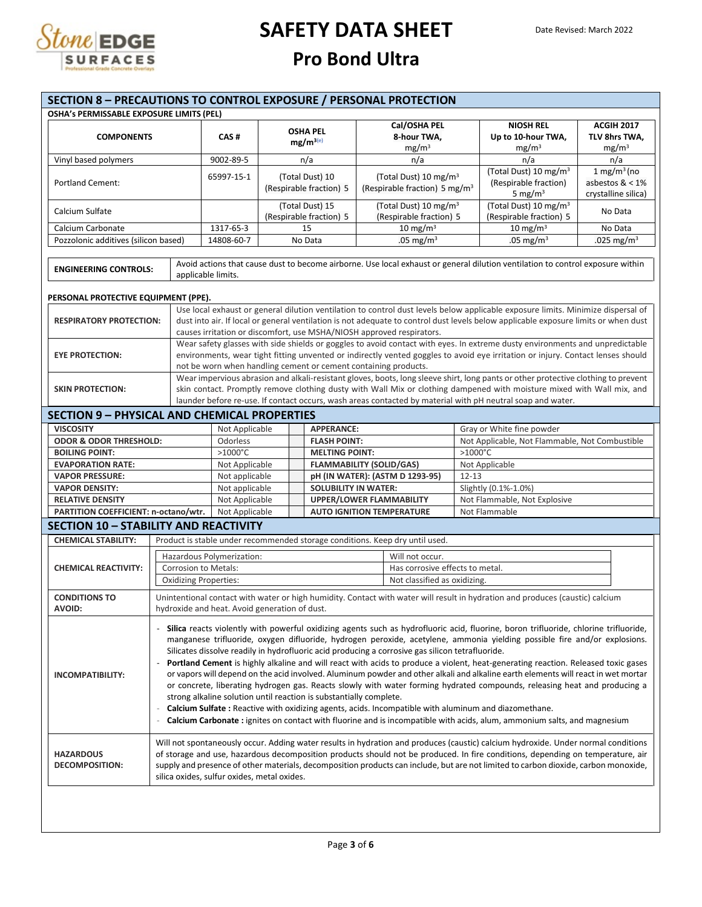

| OSHA's PERMISSABLE EXPOSURE LIMITS (PEL)                                                                                                                                                                                                                                                                                                                                                                                                                                                                                                                                                                                                                                                                                                                                                                                                                                                                                                                                                                                                                                                                          |                                                                                                                                                                                                                                                                                                                                                                                          | <b>SECTION 8 - PRECAUTIONS TO CONTROL EXPOSURE / PERSONAL PROTECTION</b> |                                            |                                                                |                                 |                                                                                |                                                |                                                                                                                                                                                                                                                                                                                                                                            |                                                                      |
|-------------------------------------------------------------------------------------------------------------------------------------------------------------------------------------------------------------------------------------------------------------------------------------------------------------------------------------------------------------------------------------------------------------------------------------------------------------------------------------------------------------------------------------------------------------------------------------------------------------------------------------------------------------------------------------------------------------------------------------------------------------------------------------------------------------------------------------------------------------------------------------------------------------------------------------------------------------------------------------------------------------------------------------------------------------------------------------------------------------------|------------------------------------------------------------------------------------------------------------------------------------------------------------------------------------------------------------------------------------------------------------------------------------------------------------------------------------------------------------------------------------------|--------------------------------------------------------------------------|--------------------------------------------|----------------------------------------------------------------|---------------------------------|--------------------------------------------------------------------------------|------------------------------------------------|----------------------------------------------------------------------------------------------------------------------------------------------------------------------------------------------------------------------------------------------------------------------------------------------------------------------------------------------------------------------------|----------------------------------------------------------------------|
|                                                                                                                                                                                                                                                                                                                                                                                                                                                                                                                                                                                                                                                                                                                                                                                                                                                                                                                                                                                                                                                                                                                   |                                                                                                                                                                                                                                                                                                                                                                                          |                                                                          |                                            |                                                                |                                 |                                                                                |                                                |                                                                                                                                                                                                                                                                                                                                                                            |                                                                      |
| <b>COMPONENTS</b>                                                                                                                                                                                                                                                                                                                                                                                                                                                                                                                                                                                                                                                                                                                                                                                                                                                                                                                                                                                                                                                                                                 |                                                                                                                                                                                                                                                                                                                                                                                          | CAS#                                                                     |                                            | <b>OSHA PEL</b><br>$mg/m^{3(e)}$                               |                                 | Cal/OSHA PEL<br>8-hour TWA,<br>mg/m <sup>3</sup>                               |                                                | <b>NIOSH REL</b><br>Up to 10-hour TWA,<br>mg/m <sup>3</sup>                                                                                                                                                                                                                                                                                                                | <b>ACGIH 2017</b><br>TLV 8hrs TWA,<br>mg/m <sup>3</sup>              |
| Vinyl based polymers                                                                                                                                                                                                                                                                                                                                                                                                                                                                                                                                                                                                                                                                                                                                                                                                                                                                                                                                                                                                                                                                                              |                                                                                                                                                                                                                                                                                                                                                                                          | 9002-89-5                                                                |                                            | n/a                                                            |                                 | n/a                                                                            |                                                | n/a                                                                                                                                                                                                                                                                                                                                                                        | n/a                                                                  |
| <b>Portland Cement:</b>                                                                                                                                                                                                                                                                                                                                                                                                                                                                                                                                                                                                                                                                                                                                                                                                                                                                                                                                                                                                                                                                                           |                                                                                                                                                                                                                                                                                                                                                                                          | 65997-15-1                                                               | (Total Dust) 10<br>(Respirable fraction) 5 |                                                                |                                 | (Total Dust) 10 mg/m <sup>3</sup><br>(Respirable fraction) 5 mg/m <sup>3</sup> |                                                | (Total Dust) 10 mg/m <sup>3</sup><br>(Respirable fraction)<br>5 mg/ $m3$                                                                                                                                                                                                                                                                                                   | $1$ mg/m <sup>3</sup> (no<br>asbestos $< 1\%$<br>crystalline silica) |
| Calcium Sulfate                                                                                                                                                                                                                                                                                                                                                                                                                                                                                                                                                                                                                                                                                                                                                                                                                                                                                                                                                                                                                                                                                                   |                                                                                                                                                                                                                                                                                                                                                                                          |                                                                          | (Total Dust) 15<br>(Respirable fraction) 5 |                                                                |                                 | (Total Dust) 10 mg/m <sup>3</sup><br>(Respirable fraction) 5                   |                                                | (Total Dust) 10 mg/m <sup>3</sup><br>(Respirable fraction) 5                                                                                                                                                                                                                                                                                                               | No Data                                                              |
| Calcium Carbonate                                                                                                                                                                                                                                                                                                                                                                                                                                                                                                                                                                                                                                                                                                                                                                                                                                                                                                                                                                                                                                                                                                 |                                                                                                                                                                                                                                                                                                                                                                                          | 1317-65-3                                                                |                                            | 15                                                             |                                 | $10 \text{ mg/m}^3$                                                            |                                                | $10 \text{ mg/m}^3$                                                                                                                                                                                                                                                                                                                                                        | No Data                                                              |
| Pozzolonic additives (silicon based)                                                                                                                                                                                                                                                                                                                                                                                                                                                                                                                                                                                                                                                                                                                                                                                                                                                                                                                                                                                                                                                                              |                                                                                                                                                                                                                                                                                                                                                                                          | 14808-60-7                                                               |                                            | No Data                                                        |                                 | .05 mg/m $3$                                                                   | .05 mg/m $3$                                   |                                                                                                                                                                                                                                                                                                                                                                            | .025 mg/m <sup>3</sup>                                               |
| <b>ENGINEERING CONTROLS:</b>                                                                                                                                                                                                                                                                                                                                                                                                                                                                                                                                                                                                                                                                                                                                                                                                                                                                                                                                                                                                                                                                                      |                                                                                                                                                                                                                                                                                                                                                                                          | applicable limits.                                                       |                                            |                                                                |                                 |                                                                                |                                                | Avoid actions that cause dust to become airborne. Use local exhaust or general dilution ventilation to control exposure within                                                                                                                                                                                                                                             |                                                                      |
|                                                                                                                                                                                                                                                                                                                                                                                                                                                                                                                                                                                                                                                                                                                                                                                                                                                                                                                                                                                                                                                                                                                   |                                                                                                                                                                                                                                                                                                                                                                                          |                                                                          |                                            |                                                                |                                 |                                                                                |                                                |                                                                                                                                                                                                                                                                                                                                                                            |                                                                      |
| <b>RESPIRATORY PROTECTION:</b>                                                                                                                                                                                                                                                                                                                                                                                                                                                                                                                                                                                                                                                                                                                                                                                                                                                                                                                                                                                                                                                                                    | PERSONAL PROTECTIVE EQUIPMENT (PPE).<br>Use local exhaust or general dilution ventilation to control dust levels below applicable exposure limits. Minimize dispersal of<br>dust into air. If local or general ventilation is not adequate to control dust levels below applicable exposure limits or when dust<br>causes irritation or discomfort, use MSHA/NIOSH approved respirators. |                                                                          |                                            |                                                                |                                 |                                                                                |                                                |                                                                                                                                                                                                                                                                                                                                                                            |                                                                      |
| <b>EYE PROTECTION:</b>                                                                                                                                                                                                                                                                                                                                                                                                                                                                                                                                                                                                                                                                                                                                                                                                                                                                                                                                                                                                                                                                                            |                                                                                                                                                                                                                                                                                                                                                                                          | not be worn when handling cement or cement containing products.          |                                            |                                                                |                                 |                                                                                |                                                | Wear safety glasses with side shields or goggles to avoid contact with eyes. In extreme dusty environments and unpredictable<br>environments, wear tight fitting unvented or indirectly vented goggles to avoid eye irritation or injury. Contact lenses should                                                                                                            |                                                                      |
| <b>SKIN PROTECTION:</b>                                                                                                                                                                                                                                                                                                                                                                                                                                                                                                                                                                                                                                                                                                                                                                                                                                                                                                                                                                                                                                                                                           |                                                                                                                                                                                                                                                                                                                                                                                          |                                                                          |                                            |                                                                |                                 |                                                                                |                                                | Wear impervious abrasion and alkali-resistant gloves, boots, long sleeve shirt, long pants or other protective clothing to prevent<br>skin contact. Promptly remove clothing dusty with Wall Mix or clothing dampened with moisture mixed with Wall mix, and<br>launder before re-use. If contact occurs, wash areas contacted by material with pH neutral soap and water. |                                                                      |
| <b>SECTION 9 - PHYSICAL AND CHEMICAL PROPERTIES</b>                                                                                                                                                                                                                                                                                                                                                                                                                                                                                                                                                                                                                                                                                                                                                                                                                                                                                                                                                                                                                                                               |                                                                                                                                                                                                                                                                                                                                                                                          |                                                                          |                                            |                                                                |                                 |                                                                                |                                                |                                                                                                                                                                                                                                                                                                                                                                            |                                                                      |
|                                                                                                                                                                                                                                                                                                                                                                                                                                                                                                                                                                                                                                                                                                                                                                                                                                                                                                                                                                                                                                                                                                                   |                                                                                                                                                                                                                                                                                                                                                                                          | Not Applicable                                                           |                                            | <b>APPERANCE:</b>                                              |                                 |                                                                                |                                                | Gray or White fine powder                                                                                                                                                                                                                                                                                                                                                  |                                                                      |
| <b>VISCOSITY</b><br><b>ODOR &amp; ODOR THRESHOLD:</b>                                                                                                                                                                                                                                                                                                                                                                                                                                                                                                                                                                                                                                                                                                                                                                                                                                                                                                                                                                                                                                                             |                                                                                                                                                                                                                                                                                                                                                                                          | Odorless                                                                 |                                            | <b>FLASH POINT:</b>                                            |                                 |                                                                                | Not Applicable, Not Flammable, Not Combustible |                                                                                                                                                                                                                                                                                                                                                                            |                                                                      |
| <b>BOILING POINT:</b>                                                                                                                                                                                                                                                                                                                                                                                                                                                                                                                                                                                                                                                                                                                                                                                                                                                                                                                                                                                                                                                                                             |                                                                                                                                                                                                                                                                                                                                                                                          |                                                                          |                                            | <b>MELTING POINT:</b>                                          |                                 | $>1000^{\circ}$ C                                                              |                                                |                                                                                                                                                                                                                                                                                                                                                                            |                                                                      |
| <b>EVAPORATION RATE:</b>                                                                                                                                                                                                                                                                                                                                                                                                                                                                                                                                                                                                                                                                                                                                                                                                                                                                                                                                                                                                                                                                                          |                                                                                                                                                                                                                                                                                                                                                                                          | Not Applicable                                                           |                                            | <b>FLAMMABILITY (SOLID/GAS)</b>                                |                                 |                                                                                | Not Applicable                                 |                                                                                                                                                                                                                                                                                                                                                                            |                                                                      |
| <b>VAPOR PRESSURE:</b>                                                                                                                                                                                                                                                                                                                                                                                                                                                                                                                                                                                                                                                                                                                                                                                                                                                                                                                                                                                                                                                                                            |                                                                                                                                                                                                                                                                                                                                                                                          | Not applicable                                                           |                                            | pH (IN WATER): (ASTM D 1293-95)<br><b>SOLUBILITY IN WATER:</b> |                                 | $12 - 13$                                                                      |                                                |                                                                                                                                                                                                                                                                                                                                                                            |                                                                      |
| <b>VAPOR DENSITY:</b>                                                                                                                                                                                                                                                                                                                                                                                                                                                                                                                                                                                                                                                                                                                                                                                                                                                                                                                                                                                                                                                                                             |                                                                                                                                                                                                                                                                                                                                                                                          | Not applicable                                                           |                                            |                                                                |                                 |                                                                                |                                                | Slightly (0.1%-1.0%)                                                                                                                                                                                                                                                                                                                                                       |                                                                      |
| <b>RELATIVE DENSITY</b>                                                                                                                                                                                                                                                                                                                                                                                                                                                                                                                                                                                                                                                                                                                                                                                                                                                                                                                                                                                                                                                                                           |                                                                                                                                                                                                                                                                                                                                                                                          | Not Applicable                                                           |                                            |                                                                | <b>UPPER/LOWER FLAMMABILITY</b> |                                                                                |                                                | Not Flammable, Not Explosive                                                                                                                                                                                                                                                                                                                                               |                                                                      |
| PARTITION COEFFICIENT: n-octano/wtr.                                                                                                                                                                                                                                                                                                                                                                                                                                                                                                                                                                                                                                                                                                                                                                                                                                                                                                                                                                                                                                                                              |                                                                                                                                                                                                                                                                                                                                                                                          | Not Applicable                                                           |                                            | <b>AUTO IGNITION TEMPERATURE</b><br>Not Flammable              |                                 |                                                                                |                                                |                                                                                                                                                                                                                                                                                                                                                                            |                                                                      |
| <b>SECTION 10 - STABILITY AND REACTIVITY</b>                                                                                                                                                                                                                                                                                                                                                                                                                                                                                                                                                                                                                                                                                                                                                                                                                                                                                                                                                                                                                                                                      |                                                                                                                                                                                                                                                                                                                                                                                          |                                                                          |                                            |                                                                |                                 |                                                                                |                                                |                                                                                                                                                                                                                                                                                                                                                                            |                                                                      |
| <b>CHEMICAL STABILITY:</b>                                                                                                                                                                                                                                                                                                                                                                                                                                                                                                                                                                                                                                                                                                                                                                                                                                                                                                                                                                                                                                                                                        |                                                                                                                                                                                                                                                                                                                                                                                          |                                                                          |                                            |                                                                |                                 | Product is stable under recommended storage conditions. Keep dry until used.   |                                                |                                                                                                                                                                                                                                                                                                                                                                            |                                                                      |
| <b>CHEMICAL REACTIVITY:</b>                                                                                                                                                                                                                                                                                                                                                                                                                                                                                                                                                                                                                                                                                                                                                                                                                                                                                                                                                                                                                                                                                       | Corrosion to Metals:                                                                                                                                                                                                                                                                                                                                                                     | Hazardous Polymerization:                                                |                                            |                                                                |                                 | Will not occur.<br>Has corrosive effects to metal.                             |                                                |                                                                                                                                                                                                                                                                                                                                                                            |                                                                      |
|                                                                                                                                                                                                                                                                                                                                                                                                                                                                                                                                                                                                                                                                                                                                                                                                                                                                                                                                                                                                                                                                                                                   |                                                                                                                                                                                                                                                                                                                                                                                          | <b>Oxidizing Properties:</b>                                             |                                            |                                                                |                                 |                                                                                | Not classified as oxidizing.                   |                                                                                                                                                                                                                                                                                                                                                                            |                                                                      |
|                                                                                                                                                                                                                                                                                                                                                                                                                                                                                                                                                                                                                                                                                                                                                                                                                                                                                                                                                                                                                                                                                                                   |                                                                                                                                                                                                                                                                                                                                                                                          |                                                                          |                                            |                                                                |                                 |                                                                                |                                                |                                                                                                                                                                                                                                                                                                                                                                            |                                                                      |
| <b>CONDITIONS TO</b><br>Unintentional contact with water or high humidity. Contact with water will result in hydration and produces (caustic) calcium<br>AVOID:<br>hydroxide and heat. Avoid generation of dust.                                                                                                                                                                                                                                                                                                                                                                                                                                                                                                                                                                                                                                                                                                                                                                                                                                                                                                  |                                                                                                                                                                                                                                                                                                                                                                                          |                                                                          |                                            |                                                                |                                 |                                                                                |                                                |                                                                                                                                                                                                                                                                                                                                                                            |                                                                      |
| Silica reacts violently with powerful oxidizing agents such as hydrofluoric acid, fluorine, boron trifluoride, chlorine trifluoride,<br>manganese trifluoride, oxygen difluoride, hydrogen peroxide, acetylene, ammonia yielding possible fire and/or explosions.<br>Silicates dissolve readily in hydrofluoric acid producing a corrosive gas silicon tetrafluoride.<br>Portland Cement is highly alkaline and will react with acids to produce a violent, heat-generating reaction. Released toxic gases<br>or vapors will depend on the acid involved. Aluminum powder and other alkali and alkaline earth elements will react in wet mortar<br><b>INCOMPATIBILITY:</b><br>or concrete, liberating hydrogen gas. Reacts slowly with water forming hydrated compounds, releasing heat and producing a<br>strong alkaline solution until reaction is substantially complete.<br>Calcium Sulfate : Reactive with oxidizing agents, acids. Incompatible with aluminum and diazomethane.<br>Calcium Carbonate: ignites on contact with fluorine and is incompatible with acids, alum, ammonium salts, and magnesium |                                                                                                                                                                                                                                                                                                                                                                                          |                                                                          |                                            |                                                                |                                 |                                                                                |                                                |                                                                                                                                                                                                                                                                                                                                                                            |                                                                      |
| Will not spontaneously occur. Adding water results in hydration and produces (caustic) calcium hydroxide. Under normal conditions<br>of storage and use, hazardous decomposition products should not be produced. In fire conditions, depending on temperature, air<br><b>HAZARDOUS</b><br><b>DECOMPOSITION:</b><br>supply and presence of other materials, decomposition products can include, but are not limited to carbon dioxide, carbon monoxide,<br>silica oxides, sulfur oxides, metal oxides.                                                                                                                                                                                                                                                                                                                                                                                                                                                                                                                                                                                                            |                                                                                                                                                                                                                                                                                                                                                                                          |                                                                          |                                            |                                                                |                                 |                                                                                |                                                |                                                                                                                                                                                                                                                                                                                                                                            |                                                                      |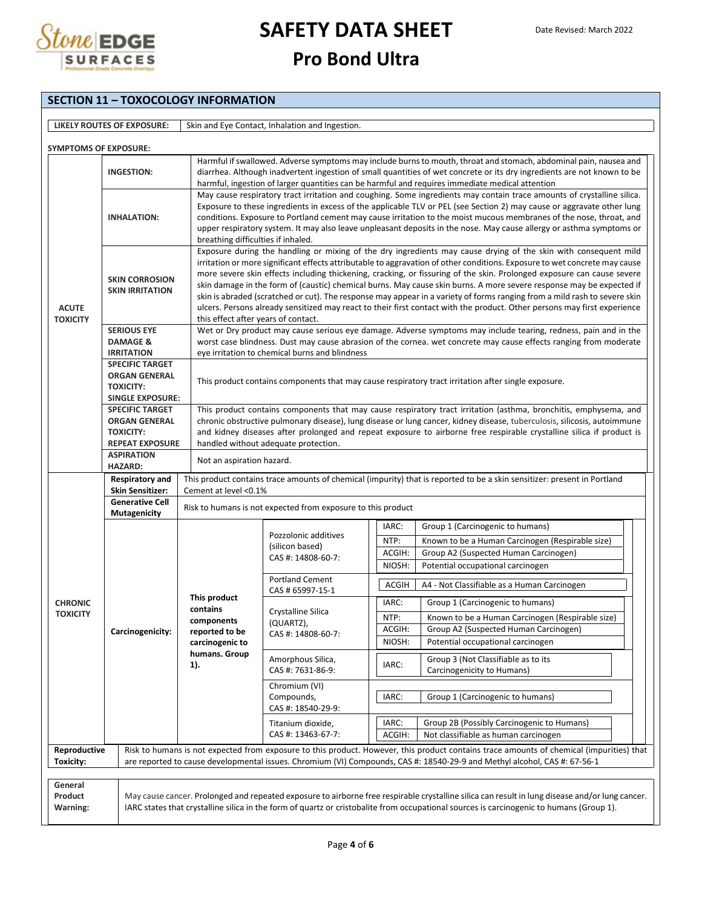

| <b>SECTION 11 - TOXOCOLOGY INFORMATION</b> |                                                                                               |                                                                                                     |                                                                                                                                                                                                                                                                                                                                                 |                                                                                                                                                                                                                                                                                                                                                                                                                                                                                                                                                                                                                                                                                                                                                          |  |  |  |  |
|--------------------------------------------|-----------------------------------------------------------------------------------------------|-----------------------------------------------------------------------------------------------------|-------------------------------------------------------------------------------------------------------------------------------------------------------------------------------------------------------------------------------------------------------------------------------------------------------------------------------------------------|----------------------------------------------------------------------------------------------------------------------------------------------------------------------------------------------------------------------------------------------------------------------------------------------------------------------------------------------------------------------------------------------------------------------------------------------------------------------------------------------------------------------------------------------------------------------------------------------------------------------------------------------------------------------------------------------------------------------------------------------------------|--|--|--|--|
|                                            | LIKELY ROUTES OF EXPOSURE:                                                                    |                                                                                                     | Skin and Eye Contact, Inhalation and Ingestion.                                                                                                                                                                                                                                                                                                 |                                                                                                                                                                                                                                                                                                                                                                                                                                                                                                                                                                                                                                                                                                                                                          |  |  |  |  |
|                                            |                                                                                               |                                                                                                     |                                                                                                                                                                                                                                                                                                                                                 |                                                                                                                                                                                                                                                                                                                                                                                                                                                                                                                                                                                                                                                                                                                                                          |  |  |  |  |
| <b>SYMPTOMS OF EXPOSURE:</b>               | <b>INGESTION:</b>                                                                             |                                                                                                     | Harmful if swallowed. Adverse symptoms may include burns to mouth, throat and stomach, abdominal pain, nausea and<br>diarrhea. Although inadvertent ingestion of small quantities of wet concrete or its dry ingredients are not known to be<br>harmful, ingestion of larger quantities can be harmful and requires immediate medical attention |                                                                                                                                                                                                                                                                                                                                                                                                                                                                                                                                                                                                                                                                                                                                                          |  |  |  |  |
|                                            | <b>INHALATION:</b>                                                                            | breathing difficulties if inhaled.                                                                  |                                                                                                                                                                                                                                                                                                                                                 | May cause respiratory tract irritation and coughing. Some ingredients may contain trace amounts of crystalline silica.<br>Exposure to these ingredients in excess of the applicable TLV or PEL (see Section 2) may cause or aggravate other lung<br>conditions. Exposure to Portland cement may cause irritation to the moist mucous membranes of the nose, throat, and<br>upper respiratory system. It may also leave unpleasant deposits in the nose. May cause allergy or asthma symptoms or                                                                                                                                                                                                                                                          |  |  |  |  |
| <b>ACUTE</b><br><b>TOXICITY</b>            | <b>SKIN CORROSION</b><br><b>SKIN IRRITATION</b>                                               | this effect after years of contact.                                                                 |                                                                                                                                                                                                                                                                                                                                                 | Exposure during the handling or mixing of the dry ingredients may cause drying of the skin with consequent mild<br>irritation or more significant effects attributable to aggravation of other conditions. Exposure to wet concrete may cause<br>more severe skin effects including thickening, cracking, or fissuring of the skin. Prolonged exposure can cause severe<br>skin damage in the form of (caustic) chemical burns. May cause skin burns. A more severe response may be expected if<br>skin is abraded (scratched or cut). The response may appear in a variety of forms ranging from a mild rash to severe skin<br>ulcers. Persons already sensitized may react to their first contact with the product. Other persons may first experience |  |  |  |  |
|                                            | <b>SERIOUS EYE</b><br><b>DAMAGE &amp;</b>                                                     |                                                                                                     |                                                                                                                                                                                                                                                                                                                                                 | Wet or Dry product may cause serious eye damage. Adverse symptoms may include tearing, redness, pain and in the<br>worst case blindness. Dust may cause abrasion of the cornea. wet concrete may cause effects ranging from moderate                                                                                                                                                                                                                                                                                                                                                                                                                                                                                                                     |  |  |  |  |
|                                            | <b>IRRITATION</b>                                                                             |                                                                                                     | eye irritation to chemical burns and blindness                                                                                                                                                                                                                                                                                                  |                                                                                                                                                                                                                                                                                                                                                                                                                                                                                                                                                                                                                                                                                                                                                          |  |  |  |  |
|                                            | <b>SPECIFIC TARGET</b><br><b>ORGAN GENERAL</b><br><b>TOXICITY:</b><br><b>SINGLE EXPOSURE:</b> |                                                                                                     |                                                                                                                                                                                                                                                                                                                                                 | This product contains components that may cause respiratory tract irritation after single exposure.                                                                                                                                                                                                                                                                                                                                                                                                                                                                                                                                                                                                                                                      |  |  |  |  |
|                                            | <b>SPECIFIC TARGET</b><br><b>ORGAN GENERAL</b><br><b>TOXICITY:</b><br><b>REPEAT EXPOSURE</b>  |                                                                                                     | handled without adequate protection.                                                                                                                                                                                                                                                                                                            | This product contains components that may cause respiratory tract irritation (asthma, bronchitis, emphysema, and<br>chronic obstructive pulmonary disease), lung disease or lung cancer, kidney disease, tuberculosis, silicosis, autoimmune<br>and kidney diseases after prolonged and repeat exposure to airborne free respirable crystalline silica if product is                                                                                                                                                                                                                                                                                                                                                                                     |  |  |  |  |
|                                            | <b>ASPIRATION</b><br><b>HAZARD:</b>                                                           | Not an aspiration hazard.                                                                           |                                                                                                                                                                                                                                                                                                                                                 |                                                                                                                                                                                                                                                                                                                                                                                                                                                                                                                                                                                                                                                                                                                                                          |  |  |  |  |
|                                            | <b>Respiratory and</b>                                                                        |                                                                                                     |                                                                                                                                                                                                                                                                                                                                                 | This product contains trace amounts of chemical (impurity) that is reported to be a skin sensitizer: present in Portland                                                                                                                                                                                                                                                                                                                                                                                                                                                                                                                                                                                                                                 |  |  |  |  |
|                                            | <b>Skin Sensitizer:</b>                                                                       | Cement at level <0.1%                                                                               |                                                                                                                                                                                                                                                                                                                                                 |                                                                                                                                                                                                                                                                                                                                                                                                                                                                                                                                                                                                                                                                                                                                                          |  |  |  |  |
|                                            | <b>Generative Cell</b><br>Mutagenicity                                                        |                                                                                                     | Risk to humans is not expected from exposure to this product                                                                                                                                                                                                                                                                                    |                                                                                                                                                                                                                                                                                                                                                                                                                                                                                                                                                                                                                                                                                                                                                          |  |  |  |  |
|                                            |                                                                                               |                                                                                                     | Pozzolonic additives<br>(silicon based)<br>CAS #: 14808-60-7:                                                                                                                                                                                                                                                                                   | IARC:<br>Group 1 (Carcinogenic to humans)<br>NTP:<br>Known to be a Human Carcinogen (Respirable size)<br>Group A2 (Suspected Human Carcinogen)<br>ACGIH:<br>Potential occupational carcinogen<br>NIOSH:                                                                                                                                                                                                                                                                                                                                                                                                                                                                                                                                                  |  |  |  |  |
|                                            |                                                                                               |                                                                                                     | <b>Portland Cement</b><br>CAS # 65997-15-1                                                                                                                                                                                                                                                                                                      | ACGIH<br>A4 - Not Classifiable as a Human Carcinogen                                                                                                                                                                                                                                                                                                                                                                                                                                                                                                                                                                                                                                                                                                     |  |  |  |  |
| <b>CHRONIC</b><br><b>TOXICITY</b>          | Carcinogenicity:                                                                              | This product<br>contains<br>components<br>reported to be<br>carcinogenic to<br>humans. Group<br>1). | Crystalline Silica<br>(QUARTZ),<br>CAS #: 14808-60-7:                                                                                                                                                                                                                                                                                           | IARC:<br>Group 1 (Carcinogenic to humans)<br>NTP:<br>Known to be a Human Carcinogen (Respirable size)<br>ACGIH:<br>Group A2 (Suspected Human Carcinogen)<br>NIOSH:<br>Potential occupational carcinogen                                                                                                                                                                                                                                                                                                                                                                                                                                                                                                                                                  |  |  |  |  |
|                                            |                                                                                               |                                                                                                     | Amorphous Silica,<br>CAS #: 7631-86-9:                                                                                                                                                                                                                                                                                                          | Group 3 (Not Classifiable as to its<br>IARC:<br>Carcinogenicity to Humans)                                                                                                                                                                                                                                                                                                                                                                                                                                                                                                                                                                                                                                                                               |  |  |  |  |
|                                            |                                                                                               |                                                                                                     | Chromium (VI)<br>Compounds,<br>CAS #: 18540-29-9:                                                                                                                                                                                                                                                                                               | IARC:<br>Group 1 (Carcinogenic to humans)                                                                                                                                                                                                                                                                                                                                                                                                                                                                                                                                                                                                                                                                                                                |  |  |  |  |
|                                            |                                                                                               |                                                                                                     | Titanium dioxide,<br>CAS #: 13463-67-7:                                                                                                                                                                                                                                                                                                         | IARC:<br>Group 2B (Possibly Carcinogenic to Humans)<br>Not classifiable as human carcinogen<br>ACGIH:                                                                                                                                                                                                                                                                                                                                                                                                                                                                                                                                                                                                                                                    |  |  |  |  |
| Reproductive<br>Toxicity:                  |                                                                                               |                                                                                                     |                                                                                                                                                                                                                                                                                                                                                 | Risk to humans is not expected from exposure to this product. However, this product contains trace amounts of chemical (impurities) that<br>are reported to cause developmental issues. Chromium (VI) Compounds, CAS #: 18540-29-9 and Methyl alcohol, CAS #: 67-56-1                                                                                                                                                                                                                                                                                                                                                                                                                                                                                    |  |  |  |  |
| General<br>Product<br>Warning:             |                                                                                               |                                                                                                     |                                                                                                                                                                                                                                                                                                                                                 | May cause cancer. Prolonged and repeated exposure to airborne free respirable crystalline silica can result in lung disease and/or lung cancer.<br>IARC states that crystalline silica in the form of quartz or cristobalite from occupational sources is carcinogenic to humans (Group 1).                                                                                                                                                                                                                                                                                                                                                                                                                                                              |  |  |  |  |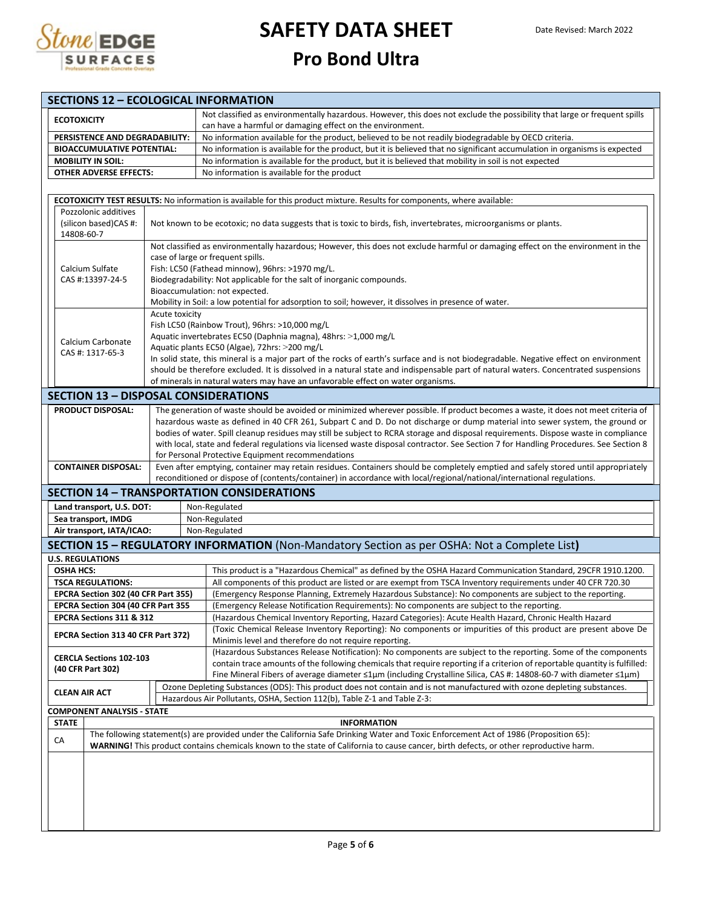

|                         |                                                                 |                | <b>SECTIONS 12 - ECOLOGICAL INFORMATION</b>                                                                                                                                                                                                                          |  |  |  |  |
|-------------------------|-----------------------------------------------------------------|----------------|----------------------------------------------------------------------------------------------------------------------------------------------------------------------------------------------------------------------------------------------------------------------|--|--|--|--|
| <b>ECOTOXICITY</b>      |                                                                 |                | Not classified as environmentally hazardous. However, this does not exclude the possibility that large or frequent spills<br>can have a harmful or damaging effect on the environment.                                                                               |  |  |  |  |
|                         | PERSISTENCE AND DEGRADABILITY:                                  |                | No information available for the product, believed to be not readily biodegradable by OECD criteria.                                                                                                                                                                 |  |  |  |  |
|                         | <b>BIOACCUMULATIVE POTENTIAL:</b>                               |                | No information is available for the product, but it is believed that no significant accumulation in organisms is expected                                                                                                                                            |  |  |  |  |
|                         | <b>MOBILITY IN SOIL:</b>                                        |                | No information is available for the product, but it is believed that mobility in soil is not expected                                                                                                                                                                |  |  |  |  |
|                         | <b>OTHER ADVERSE EFFECTS:</b>                                   |                | No information is available for the product                                                                                                                                                                                                                          |  |  |  |  |
|                         |                                                                 |                |                                                                                                                                                                                                                                                                      |  |  |  |  |
|                         |                                                                 |                | <b>ECOTOXICITY TEST RESULTS:</b> No information is available for this product mixture. Results for components, where available:                                                                                                                                      |  |  |  |  |
|                         | Pozzolonic additives                                            |                |                                                                                                                                                                                                                                                                      |  |  |  |  |
| 14808-60-7              | (silicon based)CAS #:                                           |                | Not known to be ecotoxic; no data suggests that is toxic to birds, fish, invertebrates, microorganisms or plants.                                                                                                                                                    |  |  |  |  |
|                         |                                                                 |                | Not classified as environmentally hazardous; However, this does not exclude harmful or damaging effect on the environment in the<br>case of large or frequent spills.                                                                                                |  |  |  |  |
|                         | Calcium Sulfate                                                 |                | Fish: LC50 (Fathead minnow), 96hrs: >1970 mg/L.                                                                                                                                                                                                                      |  |  |  |  |
|                         | CAS #:13397-24-5                                                |                | Biodegradability: Not applicable for the salt of inorganic compounds.                                                                                                                                                                                                |  |  |  |  |
|                         |                                                                 |                | Bioaccumulation: not expected.<br>Mobility in Soil: a low potential for adsorption to soil; however, it dissolves in presence of water.                                                                                                                              |  |  |  |  |
|                         |                                                                 | Acute toxicity |                                                                                                                                                                                                                                                                      |  |  |  |  |
|                         |                                                                 |                | Fish LC50 (Rainbow Trout), 96hrs: >10,000 mg/L                                                                                                                                                                                                                       |  |  |  |  |
|                         | Calcium Carbonate                                               |                | Aquatic invertebrates EC50 (Daphnia magna), 48hrs: >1,000 mg/L                                                                                                                                                                                                       |  |  |  |  |
|                         | CAS #: 1317-65-3                                                |                | Aquatic plants EC50 (Algae), 72hrs: >200 mg/L                                                                                                                                                                                                                        |  |  |  |  |
|                         |                                                                 |                | In solid state, this mineral is a major part of the rocks of earth's surface and is not biodegradable. Negative effect on environment                                                                                                                                |  |  |  |  |
|                         |                                                                 |                | should be therefore excluded. It is dissolved in a natural state and indispensable part of natural waters. Concentrated suspensions<br>of minerals in natural waters may have an unfavorable effect on water organisms.                                              |  |  |  |  |
|                         |                                                                 |                | <b>SECTION 13 - DISPOSAL CONSIDERATIONS</b>                                                                                                                                                                                                                          |  |  |  |  |
|                         | <b>PRODUCT DISPOSAL:</b>                                        |                | The generation of waste should be avoided or minimized wherever possible. If product becomes a waste, it does not meet criteria of                                                                                                                                   |  |  |  |  |
|                         |                                                                 |                | hazardous waste as defined in 40 CFR 261, Subpart C and D. Do not discharge or dump material into sewer system, the ground or<br>bodies of water. Spill cleanup residues may still be subject to RCRA storage and disposal requirements. Dispose waste in compliance |  |  |  |  |
|                         |                                                                 |                | with local, state and federal regulations via licensed waste disposal contractor. See Section 7 for Handling Procedures. See Section 8                                                                                                                               |  |  |  |  |
|                         |                                                                 |                | for Personal Protective Equipment recommendations                                                                                                                                                                                                                    |  |  |  |  |
|                         | <b>CONTAINER DISPOSAL:</b>                                      |                | Even after emptying, container may retain residues. Containers should be completely emptied and safely stored until appropriately                                                                                                                                    |  |  |  |  |
|                         |                                                                 |                | reconditioned or dispose of (contents/container) in accordance with local/regional/national/international regulations.                                                                                                                                               |  |  |  |  |
|                         |                                                                 |                | <b>SECTION 14 - TRANSPORTATION CONSIDERATIONS</b>                                                                                                                                                                                                                    |  |  |  |  |
|                         | Land transport, U.S. DOT:                                       |                | Non-Regulated                                                                                                                                                                                                                                                        |  |  |  |  |
|                         | Sea transport, IMDG                                             |                | Non-Regulated                                                                                                                                                                                                                                                        |  |  |  |  |
|                         | Air transport, IATA/ICAO:                                       |                | Non-Regulated                                                                                                                                                                                                                                                        |  |  |  |  |
|                         |                                                                 |                | SECTION 15 - REGULATORY INFORMATION (Non-Mandatory Section as per OSHA: Not a Complete List)                                                                                                                                                                         |  |  |  |  |
| <b>U.S. REGULATIONS</b> |                                                                 |                |                                                                                                                                                                                                                                                                      |  |  |  |  |
| <b>OSHA HCS:</b>        |                                                                 |                | This product is a "Hazardous Chemical" as defined by the OSHA Hazard Communication Standard, 29CFR 1910.1200.                                                                                                                                                        |  |  |  |  |
|                         | <b>TSCA REGULATIONS:</b><br>EPCRA Section 302 (40 CFR Part 355) |                | All components of this product are listed or are exempt from TSCA Inventory requirements under 40 CFR 720.30<br>(Emergency Response Planning, Extremely Hazardous Substance): No components are subject to the reporting.                                            |  |  |  |  |
|                         | EPCRA Section 304 (40 CFR Part 355                              |                | (Emergency Release Notification Requirements): No components are subject to the reporting.                                                                                                                                                                           |  |  |  |  |
|                         | EPCRA Sections 311 & 312                                        |                | (Hazardous Chemical Inventory Reporting, Hazard Categories): Acute Health Hazard, Chronic Health Hazard                                                                                                                                                              |  |  |  |  |
|                         |                                                                 |                | (Toxic Chemical Release Inventory Reporting): No components or impurities of this product are present above De                                                                                                                                                       |  |  |  |  |
|                         | EPCRA Section 313 40 CFR Part 372)                              |                | Minimis level and therefore do not require reporting.                                                                                                                                                                                                                |  |  |  |  |
|                         | <b>CERCLA Sections 102-103</b>                                  |                | (Hazardous Substances Release Notification): No components are subject to the reporting. Some of the components                                                                                                                                                      |  |  |  |  |
|                         | (40 CFR Part 302)                                               |                | contain trace amounts of the following chemicals that require reporting if a criterion of reportable quantity is fulfilled:<br>Fine Mineral Fibers of average diameter ≤1μm (including Crystalline Silica, CAS #: 14808-60-7 with diameter ≤1μm)                     |  |  |  |  |
| <b>CLEAN AIR ACT</b>    |                                                                 |                | Ozone Depleting Substances (ODS): This product does not contain and is not manufactured with ozone depleting substances.                                                                                                                                             |  |  |  |  |
|                         |                                                                 |                | Hazardous Air Pollutants, OSHA, Section 112(b), Table Z-1 and Table Z-3:                                                                                                                                                                                             |  |  |  |  |
|                         | <b>COMPONENT ANALYSIS - STATE</b>                               |                |                                                                                                                                                                                                                                                                      |  |  |  |  |
| <b>STATE</b>            |                                                                 |                | <b>INFORMATION</b><br>The following statement(s) are provided under the California Safe Drinking Water and Toxic Enforcement Act of 1986 (Proposition 65):                                                                                                           |  |  |  |  |
| CA                      |                                                                 |                | WARNING! This product contains chemicals known to the state of California to cause cancer, birth defects, or other reproductive harm.                                                                                                                                |  |  |  |  |
|                         |                                                                 |                |                                                                                                                                                                                                                                                                      |  |  |  |  |
|                         |                                                                 |                |                                                                                                                                                                                                                                                                      |  |  |  |  |
|                         |                                                                 |                |                                                                                                                                                                                                                                                                      |  |  |  |  |
|                         |                                                                 |                |                                                                                                                                                                                                                                                                      |  |  |  |  |
|                         |                                                                 |                |                                                                                                                                                                                                                                                                      |  |  |  |  |
|                         |                                                                 |                |                                                                                                                                                                                                                                                                      |  |  |  |  |